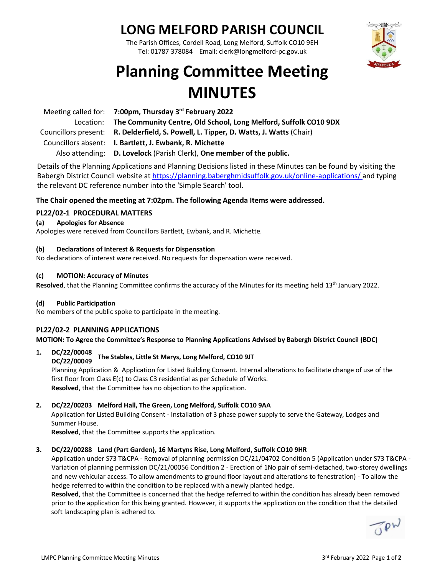# **LONG MELFORD PARISH COUNCIL**

The Parish Offices, Cordell Road, Long Melford, Suffolk CO10 9EH Tel: 01787 378084 Email: clerk@longmelford-pc.gov.uk



# **Planning Committee Meeting MINUTES**

| Meeting called for: 7:00pm, Thursday 3rd February 2022                                |
|---------------------------------------------------------------------------------------|
| Location: The Community Centre, Old School, Long Melford, Suffolk CO10 9DX            |
| Councillors present: R. Delderfield, S. Powell, L. Tipper, D. Watts, J. Watts (Chair) |
| Councillors absent: I. Bartlett, J. Ewbank, R. Michette                               |
| Also attending: D. Lovelock (Parish Clerk), One member of the public.                 |

Details of the Planning Applications and Planning Decisions listed in these Minutes can be found by visiting the Babergh District Council website at<https://planning.baberghmidsuffolk.gov.uk/online-applications/> and typing the relevant DC reference number into the 'Simple Search' tool.

## **The Chair opened the meeting at 7:02pm. The following Agenda Items were addressed.**

## **PL22/02-1 PROCEDURAL MATTERS**

## **(a) Apologies for Absence**

Apologies were received from Councillors Bartlett, Ewbank, and R. Michette.

## **(b) Declarations of Interest & Requests for Dispensation**

No declarations of interest were received. No requests for dispensation were received.

## **(c) MOTION: Accuracy of Minutes**

**Resolved**, that the Planning Committee confirms the accuracy of the Minutes for its meeting held 13th January 2022.

## **(d) Public Participation**

No members of the public spoke to participate in the meeting.

## **PL22/02-2 PLANNING APPLICATIONS**

**MOTION: To Agree the Committee's Response to Planning Applications Advised by Babergh District Council (BDC)**

## **1. DC/22/00048**

#### **DC/22/00049 The Stables, Little St Marys, Long Melford, CO10 9JT**

Planning Application & Application for Listed Building Consent. Internal alterations to facilitate change of use of the first floor from Class E(c) to Class C3 residential as per Schedule of Works. **Resolved**, that the Committee has no objection to the application.

## **2. DC/22/00203 Melford Hall, The Green, Long Melford, Suffolk CO10 9AA**

Application for Listed Building Consent - Installation of 3 phase power supply to serve the Gateway, Lodges and Summer House.

**Resolved**, that the Committee supports the application.

## **3. DC/22/00288 Land (Part Garden), 16 Martyns Rise, Long Melford, Suffolk CO10 9HR**

Application under S73 T&CPA - Removal of planning permission DC/21/04702 Condition 5 (Application under S73 T&CPA - Variation of planning permission DC/21/00056 Condition 2 - Erection of 1No pair of semi-detached, two-storey dwellings and new vehicular access. To allow amendments to ground floor layout and alterations to fenestration) - To allow the hedge referred to within the condition to be replaced with a newly planted hedge.

**Resolved**, that the Committee is concerned that the hedge referred to within the condition has already been removed prior to the application for this being granted. However, it supports the application on the condition that the detailed soft landscaping plan is adhered to.

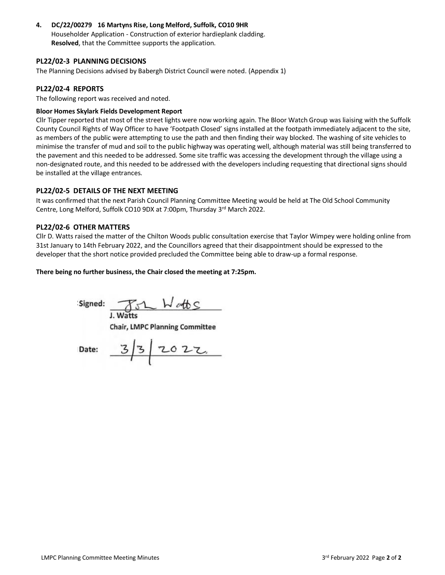**4. DC/22/00279 16 Martyns Rise, Long Melford, Suffolk, CO10 9HR** Householder Application - Construction of exterior hardieplank cladding. **Resolved**, that the Committee supports the application.

## **PL22/02-3 PLANNING DECISIONS**

The Planning Decisions advised by Babergh District Council were noted. (Appendix 1)

## **PL22/02-4 REPORTS**

The following report was received and noted.

## **Bloor Homes Skylark Fields Development Report**

Cllr Tipper reported that most of the street lights were now working again. The Bloor Watch Group was liaising with the Suffolk County Council Rights of Way Officer to have 'Footpath Closed' signs installed at the footpath immediately adjacent to the site, as members of the public were attempting to use the path and then finding their way blocked. The washing of site vehicles to minimise the transfer of mud and soil to the public highway was operating well, although material was still being transferred to the pavement and this needed to be addressed. Some site traffic was accessing the development through the village using a non-designated route, and this needed to be addressed with the developers including requesting that directional signs should be installed at the village entrances.

## **PL22/02-5 DETAILS OF THE NEXT MEETING**

It was confirmed that the next Parish Council Planning Committee Meeting would be held at The Old School Community Centre, Long Melford, Suffolk CO10 9DX at 7:00pm, Thursday 3<sup>rd</sup> March 2022.

## **PL22/02-6 OTHER MATTERS**

Cllr D. Watts raised the matter of the Chilton Woods public consultation exercise that Taylor Wimpey were holding online from 31st January to 14th February 2022, and the Councillors agreed that their disappointment should be expressed to the developer that the short notice provided precluded the Committee being able to draw-up a formal response.

### **There being no further business, the Chair closed the meeting at 7:25pm.**

**Signed: J. Watts** 

**Chair, LMPC Planning Committee**

Date:  $3/3/2022$